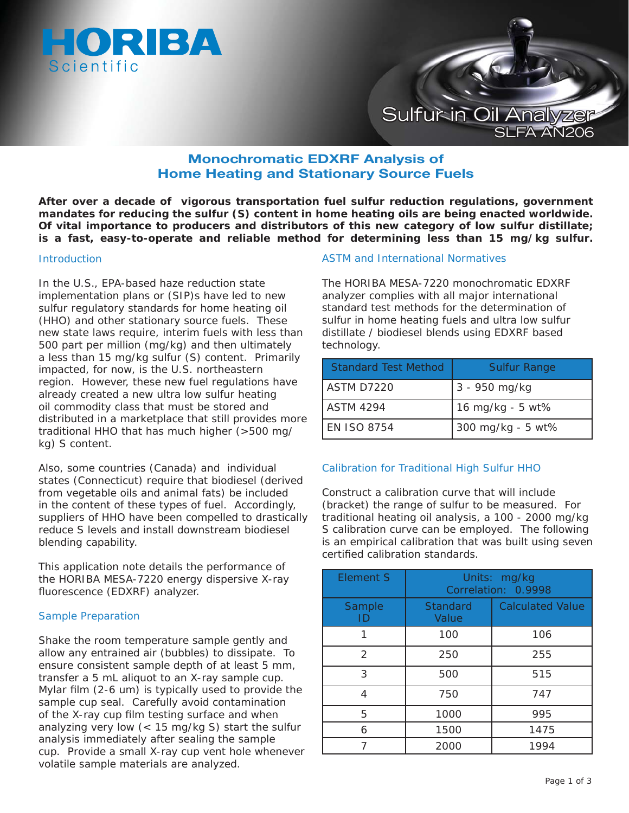



# **Monochromatic EDXRF Analysis of Home Heating and Stationary Source Fuels**

**After over a decade of vigorous transportation fuel sulfur reduction regulations, government mandates for reducing the sulfur (S) content in home heating oils are being enacted worldwide. Of vital importance to producers and distributors of this new category of low sulfur distillate; is a fast, easy-to-operate and reliable method for determining less than 15 mg/kg sulfur.**

### Introduction

In the U.S., EPA-based haze reduction state implementation plans or (SIP)s have led to new sulfur regulatory standards for home heating oil (HHO) and other stationary source fuels. These new state laws require, interim fuels with less than 500 part per million (mg/kg) and then ultimately a less than 15 mg/kg sulfur (S) content. Primarily impacted, for now, is the U.S. northeastern region. However, these new fuel regulations have already created a new ultra low sulfur heating oil commodity class that must be stored and distributed in a marketplace that still provides more traditional HHO that has much higher (>500 mg/ kg) S content.

Also, some countries (Canada) and individual states (Connecticut) require that biodiesel (derived from vegetable oils and animal fats) be included in the content of these types of fuel. Accordingly, suppliers of HHO have been compelled to drastically reduce S levels and install downstream biodiesel blending capability.

This application note details the performance of the HORIBA MESA-7220 energy dispersive X-ray fluorescence (EDXRF) analyzer.

## Sample Preparation

Shake the room temperature sample gently and allow any entrained air (bubbles) to dissipate. To ensure consistent sample depth of at least 5 mm, transfer a 5 mL aliquot to an X-ray sample cup. Mylar film  $(2-6 \text{ um})$  is typically used to provide the sample cup seal. Carefully avoid contamination of the X-ray cup film testing surface and when analyzing very low (< 15 mg/kg S) start the sulfur analysis immediately after sealing the sample cup. Provide a small X-ray cup vent hole whenever volatile sample materials are analyzed.

## ASTM and International Normatives

The HORIBA MESA-7220 monochromatic EDXRF analyzer complies with all major international standard test methods for the determination of sulfur in home heating fuels and ultra low sulfur distillate / biodiesel blends using EDXRF based technology.

| <b>Standard Test Method</b> | <b>Sulfur Range</b> |
|-----------------------------|---------------------|
| ASTM D7220                  | 3 - 950 mg/kg       |
| <b>ASTM 4294</b>            | 16 mg/kg - 5 wt%    |
| <b>EN ISO 8754</b>          | 300 mg/kg - 5 wt%   |

## Calibration for Traditional High Sulfur HHO

Construct a calibration curve that will include (bracket) the range of sulfur to be measured. For traditional heating oil analysis, a 100 - 2000 mg/kg S calibration curve can be employed. The following is an empirical calibration that was built using seven certified calibration standards.

| Element S     | Units: mg/kg<br>Correlation: 0.9998 |                         |
|---------------|-------------------------------------|-------------------------|
| Sample<br>ID  | Standard<br>Value                   | <b>Calculated Value</b> |
|               | 100                                 | 106                     |
| $\mathcal{P}$ | 250                                 | 255                     |
| 3             | 500                                 | 515                     |
| 4             | 750                                 | 747                     |
| 5             | 1000                                | 995                     |
| 6             | 1500                                | 1475                    |
|               | 2000                                | 1994                    |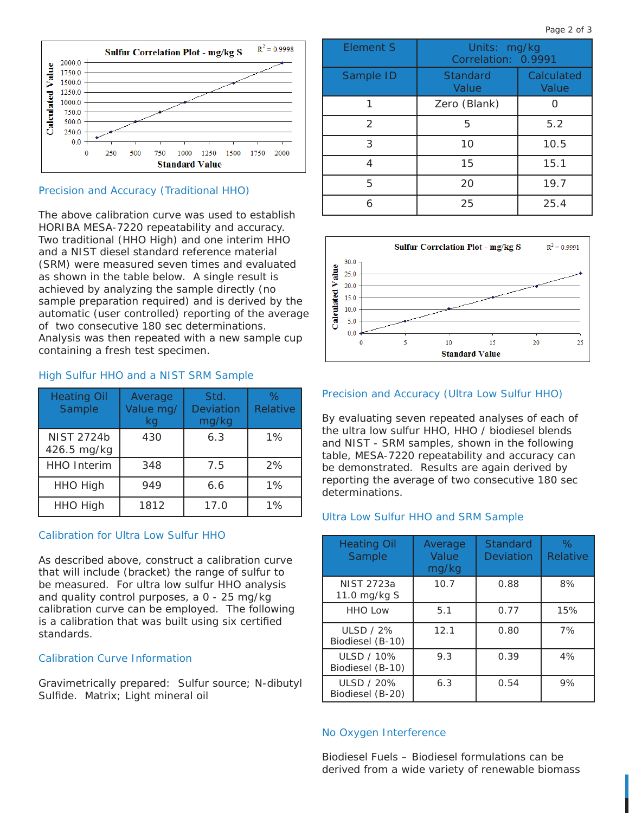

#### Precision and Accuracy (Traditional HHO)

The above calibration curve was used to establish HORIBA MESA-7220 repeatability and accuracy. Two traditional (HHO High) and one interim HHO and a NIST diesel standard reference material (SRM) were measured seven times and evaluated as shown in the table below. A single result is achieved by analyzing the sample directly (no sample preparation required) and is derived by the automatic (user controlled) reporting of the average of two consecutive 180 sec determinations. Analysis was then repeated with a new sample cup containing a fresh test specimen.

## High Sulfur HHO and a NIST SRM Sample

| <b>Heating Oil</b><br>Sample     | Average<br>Value mg/<br>kg | Std.<br>Deviation<br>mg/kg | $\%$<br>Relative |
|----------------------------------|----------------------------|----------------------------|------------------|
| <b>NIST 2724b</b><br>426.5 mg/kg | 430                        | 6.3                        | 1%               |
| <b>HHO Interim</b>               | 348                        | 7.5                        | 2%               |
| <b>HHO High</b>                  | 949                        | 6.6                        | 1%               |
| <b>HHO High</b>                  | 1812                       | 17.0                       | 1%               |

### Calibration for Ultra Low Sulfur HHO

As described above, construct a calibration curve that will include (bracket) the range of sulfur to be measured. For ultra low sulfur HHO analysis and quality control purposes, a 0 - 25 mg/kg calibration curve can be employed. The following is a calibration that was built using six certified standards.

#### Calibration Curve Information

Gravimetrically prepared: Sulfur source; N-dibutyl Sulfide. Matrix; Light mineral oil

| <b>Element S</b> | Units: mg/kg<br>Correlation: 0.9991 |                     |
|------------------|-------------------------------------|---------------------|
| Sample ID        | <b>Standard</b><br>Value            | Calculated<br>Value |
|                  | Zero (Blank)                        |                     |
| $\mathcal{P}$    | 5                                   | 5.2                 |
| 3                | 10                                  | 10.5                |
| 4                | 15                                  | 15.1                |
| 5                | 20                                  | 19.7                |
| 6                | 25                                  | 25.4                |



#### Precision and Accuracy (Ultra Low Sulfur HHO)

By evaluating seven repeated analyses of each of the ultra low sulfur HHO, HHO / biodiesel blends and NIST - SRM samples, shown in the following table, MESA-7220 repeatability and accuracy can be demonstrated. Results are again derived by reporting the average of two consecutive 180 sec determinations.

#### Ultra Low Sulfur HHO and SRM Sample

| <b>Heating Oil</b><br>Sample          | Average<br>Value<br>mg/kg | <b>Standard</b><br>Deviation | $\%$<br>Relative |
|---------------------------------------|---------------------------|------------------------------|------------------|
| NIST 2723a<br>11.0 mg/kg S            | 10.7                      | 0.88                         | 8%               |
| <b>HHO Low</b>                        | 5.1                       | 0.77                         | 15%              |
| <b>ULSD / 2%</b><br>Biodiesel (B-10)  | 12.1                      | 0.80                         | 7%               |
| ULSD / 10%<br>Biodiesel (B-10)        | 9.3                       | 0.39                         | 4%               |
| <b>ULSD / 20%</b><br>Biodiesel (B-20) | 6.3                       | 0.54                         | 9%               |

#### No Oxygen Interference

Biodiesel Fuels – Biodiesel formulations can be derived from a wide variety of renewable biomass